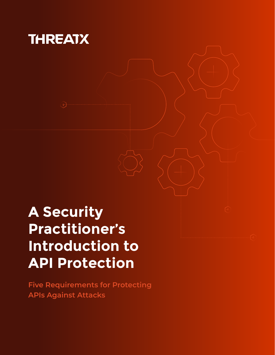

## **A Security Practitioner's Introduction to API Protection**

**Five Requirements for Protecting APIs Against Attacks**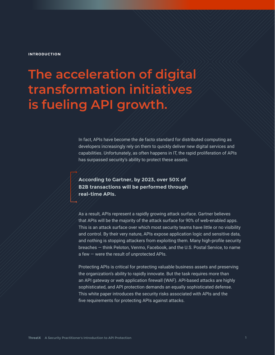#### **INTRODUCTION**

## **The acceleration of digital transformation initiatives is fueling API growth.**

In fact, APIs have become the de facto standard for distributed computing as developers increasingly rely on them to quickly deliver new digital services and capabilities. Unfortunately, as often happens in IT, the rapid proliferation of APIs has surpassed security's ability to protect these assets.

### **According to Gartner, by 2023, over 50% of B2B transactions will be performed through real-time APIs.**

As a result, APIs represent a rapidly growing attack surface. Gartner believes that APIs will be the majority of the attack surface for 90% of web-enabled apps. This is an attack surface over which most security teams have little or no visibility and control. By their very nature, APIs expose application logic and sensitive data, and nothing is stopping attackers from exploiting them. Many high-profile security breaches — think Peloton, Venmo, Facebook, and the U.S. Postal Service, to name a few — were the result of unprotected APIs.

Protecting APIs is critical for protecting valuable business assets and preserving the organization's ability to rapidly innovate. But the task requires more than an API gateway or web application firewall (WAF). API-based attacks are highly sophisticated, and API protection demands an equally sophisticated defense. This white paper introduces the security risks associated with APIs and the five requirements for protecting APIs against attacks.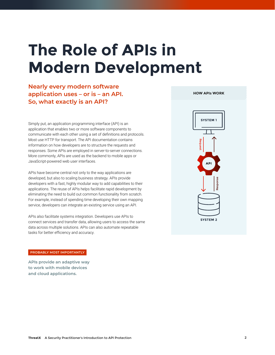# **The Role of APIs in Modern Development**

**Nearly every modern software application uses – or is – an API. So, what exactly is an API?** 

Simply put, an application programming interface (API) is an application that enables two or more software components to communicate with each other using a set of definitions and protocols. Most use HTTP for transport. The API documentation contains information on how developers are to structure the requests and responses. Some APIs are employed in server-to-server connections. More commonly, APIs are used as the backend to mobile apps or JavaScript-powered web user interfaces.

APIs have become central not only to the way applications are developed, but also to scaling business strategy. APIs provide developers with a fast, highly modular way to add capabilities to their applications. The reuse of APIs helps facilitate rapid development by eliminating the need to build out common functionality from scratch. For example, instead of spending time developing their own mapping service, developers can integrate an existing service using an API.

APIs also facilitate systems integration. Developers use APIs to connect services and transfer data, allowing users to access the same data across multiple solutions. APIs can also automate repeatable tasks for better efficiency and accuracy.



**HOW APIs WORK**

#### **PROBABLY MOST IMPORTANTLY**

**APIs provide an adaptive way to work with mobile devices and cloud applications.**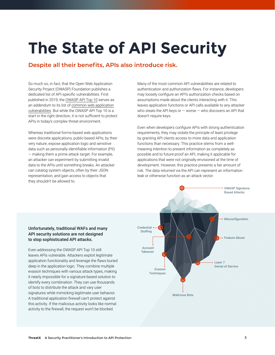# **The State of API Security**

## **Despite all their benefits, APIs also introduce risk.**

So much so, in fact, that the Open Web Application Security Project (OWASP) Foundation publishes a dedicated list of API-specific vulnerabilities. First published in 2019, the [OWASP API Top 10](https://owasp.org/www-project-api-security/) serves as an addendum to its list of [common web application](https://owasp.org/www-project-top-ten/) [vulnerabilities](https://owasp.org/www-project-top-ten/). But while the OWASP API Top 10 is a start in the right direction, it is not sufficient to protect APIs in today's complex threat environment.

Whereas traditional forms-based web applications were discrete applications, public-based APIs, by their very nature, expose application logic and sensitive data such as personally identifiable information (PII) — making them a prime attack target. For example, an attacker can experiment by submitting invalid data to the APIs until something breaks. An attacker can catalog system objects, often by their JSON representation, and gain access to objects that they shouldn't be allowed to.

Many of the most common API vulnerabilities are related to authentication and authorization flaws. For instance, developers may loosely configure an API's authorization checks based on assumptions made about the clients interacting with it. This leaves application functions or API calls available to any attacker who steals the API keys or  $-$  worse  $-$  who discovers an API that doesn't require keys.

Even when developers configure APIs with strong authentication requirements, they may violate the principle of least privilege by granting API clients access to more data and application functions than necessary. This practice stems from a wellmeaning intention to present information as completely as possible and to future-proof an API, making it applicable for applications that were not originally envisioned at the time of development. However, this practice presents a fair amount of risk. The data returned via the API can represent an information leak or otherwise function as an attack vector.

#### Unfortunately, traditional WAFs and many API security solutions are not designed to stop sophisticated API attacks.

Even addressing the OWASP API Top 10 still leaves APIs vulnerable. Attackers exploit legitimate application functionality and leverage the flaws buried deep in the application logic. They combine multiple evasion techniques with various attack types, making it nearly impossible for a signature-based solution to identify every combination. They can use thousands of bots to distribute the attack and vary user signatures while mimicking legitimate user behavior. A traditional application firewall can't protect against this activity. If the malicious activity looks like normal activity to the firewall, the request won't be blocked.

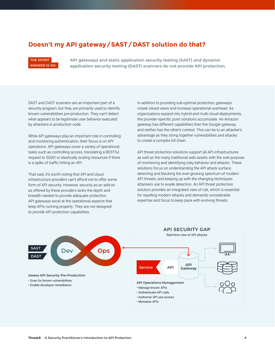### **Doesn't my API gateway/SAST/DAST solution do that?**

#### **THE SHORT ANSWER IS NO.**

**API gateways and static application security testing (SAST) and dynamic application security testing (DAST) scanners do not provide API protection.** 

SAST and DAST scanners are an important part of a security program, but they are primarily used to identify known vulnerabilities pre-production. They can't detect what appears to be legitimate user behavior executed by attackers in production code.

Pisque Rogue Rogue APIs labelled 2 APIs labelled 2 APIs labelled 2 APIs labelled 2 APIs labelled 2 APIs labelled 2 APIs labelled 2 APIs labelled 2 APIs labelled 2 APIs labelled 2 APIs labelled 2 APIs labelled 2 APIs labell is a spike of traffic hitting an API. While API gateways play an important role in controlling and monitoring authentication, their focus is on API operations. API gateways cover a variety of operational tasks such as controlling access, translating a RESTful request to SOAP, or elastically scaling resources if there

Depict  $\alpha$  red bara, to not a infrastructure providers can't afford not to offer some form of API security. However, security as an add-on as offered by these providers lacks the depth and That said, it's worth noting that API and cloud breadth needed to provide adequate protection. API gateways excel at the operational aspects that keep APIs running properly. They are not designed to provide API protection capabilities.

In addition to providing sub-optimal protection, gateways create siloed views and increase operational overhead. As organizations expand into hybrid and multi-cloud deployments, the provider-specific point solutions accumulate. An Amazon gateway has different capabilities than the Google gateway, and neither has the other's context. This can be to an attacker's advantage as they string together vulnerabilities and attacks to create a complex kill chain.

API threat protection solutions support all API infrastructures as well as the many traditional web assets with the sole purpose of monitoring and identifying risky behavior and attacks. These solutions focus on understanding the API attack surface, detecting and blocking the ever-growing spectrum of modern API threats, and keeping up with the changing techniques attackers use to evade detection. An API threat protection solution provides an integrated view of risk, which is essential for repelling modern attacks and demands considerable expertise and focus to keep pace with evolving threats.

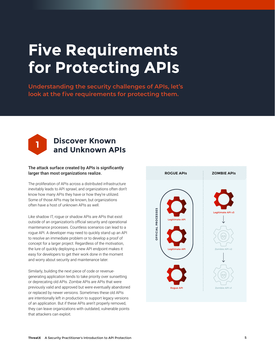# **Five Requirements for Protecting APIs**

**Understanding the security challenges of APIs, let's look at the five requirements for protecting them.**



## **Discover Known and Unknown APIs**

#### The attack surface created by APIs is significantly larger than most organizations realize.

The proliferation of APIs across a distributed infrastructure inevitably leads to API sprawl, and organizations often don't know how many APIs they have or how they're utilized. Some of those APIs may be known, but organizations often have a host of unknown APIs as well.

Like shadow IT, rogue or shadow APIs are APIs that exist outside of an organization's official security and operational maintenance processes. Countless scenarios can lead to a rogue API. A developer may need to quickly stand up an API to resolve an immediate problem or to develop a proof of concept for a larger project. Regardless of the motivation, the lure of quickly deploying a new API endpoint makes it easy for developers to get their work done in the moment and worry about security and maintenance later.

Similarly, building the next piece of code or revenuegenerating application tends to take priority over sunsetting or deprecating old APIs. Zombie APIs are APIs that were previously valid and approved but were eventually abandoned or replaced by newer versions. Sometimes these old APIs are intentionally left in production to support legacy versions of an application. But if these APIs aren't properly removed, they can leave organizations with outdated, vulnerable points that attackers can exploit.

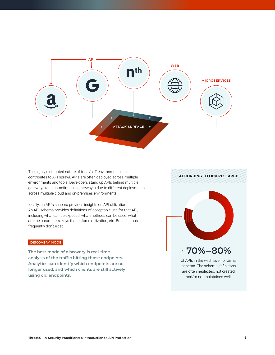

The highly distributed nature of today's IT environments also contributes to API sprawl. APIs are often deployed across multiple environments and tools. Developers stand up APIs behind multiple gateways (and sometimes no gateways) due to different deployments across multiple cloud and on-premises environments.

Ideally, an API's schema provides insights on API utilization. An API schema provides definitions of acceptable use for that API, including what can be exposed, what methods can be used, what are the parameters, keys that enforce utilization, etc. But schemas frequently don't exist.

#### **DISCOVERY MODE**

**The best mode of discovery is real-time analysis of the traffic hitting those endpoints. Analytics can identify which endpoints are no longer used, and which clients are still actively using old endpoints.**

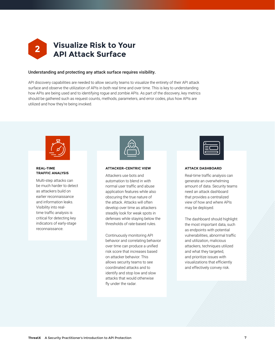

#### Understanding and protecting any attack surface requires visibility.

API discovery capabilities are needed to allow security teams to visualize the entirety of their API attack surface and observe the utilization of APIs in both real time and over time. This is key to understanding how APIs are being used and to identifying rogue and zombie APIs. As part of the discovery, key metrics should be gathered such as request counts, methods, parameters, and error codes, plus how APIs are utilized and how they're being invoked.



#### **REAL-TIME TRAFFIC ANALYSIS**

Multi-step attacks can be much harder to detect as attackers build on earlier reconnaissance and information leaks. Visibility into realtime traffic analysis is critical for detecting key indicators of early-stage reconnaissance.

#### **ATTACKER-CENTRIC VIEW**

Attackers use bots and automation to blend in with normal user traffic and abuse application features while also obscuring the true nature of the attack. Attacks will often develop over time as attackers steadily look for weak spots in defenses while staying below the thresholds of rate-based rules.

Continuously monitoring API behavior and correlating behavior over time can produce a unified risk score that increases based on attacker behavior. This allows security teams to see coordinated attacks and to identify and stop low and slow attacks that would otherwise fly under the radar.



#### **ATTACK DASHBOARD**

Real-time traffic analysis can generate an overwhelming amount of data. Security teams need an attack dashboard that provides a centralized view of how and where APIs may be deployed.

The dashboard should highlight the most important data, such as endpoints with potential vulnerabilities, abnormal traffic and utilization, malicious attackers, techniques utilized and what they targeted, and prioritize issues with visualizations that efficiently and effectively convey risk.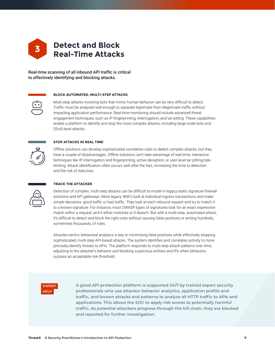

Real-time scanning of all inbound API traffic is critical to effectively identifying and blocking attacks.

#### **BLOCK AUTOMATED, MULTI-STEP ATTACKS**

Multi-step attacks involving bots that mimic human behavior can be very difficult to detect. Traffic must be analyzed well enough to separate legitimate from illegitimate traffic without impacting application performance. Real-time monitoring should include advanced threat engagement techniques, such as IP fingerprinting, interrogation, and tar-pitting. These capabilities enable a platform to identify and stop the most complex attacks, including large-scale bots and DDoS-level attacks.



#### **STOP ATTACKS IN REAL TIME**

Offline solutions can develop sophisticated correlation rules to detect complex attacks, but they have a couple of disadvantages. Offline solutions can't take advantage of real-time, interactive techniques like IP interrogation and fingerprinting, active deception, or user-level tar pitting/rate limiting. Attack identification often occurs well after the fact, increasing the time to detection and the risk of data loss.

#### **TRACK THE ATTACKER**

Detection of complex, multi-step attacks can be difficult to model in legacy static signature firewall solutions and API gateways. Most legacy WAFs look at individual ingress transactions and make simple decisions: good traffic or bad traffic. They look at each inbound request and try to match it to a known signature. For instance, most OWASP types of signatures look for an exact expression match within a request, and it either matches or it doesn't. But with a multi-step, automated attack, it's difficult to detect and block the right ones without causing false positives or writing hundreds, sometimes thousands, of rules.

Attacker-centric behavioral analytics is key to minimizing false positives while effectively stopping sophisticated, multi-step API-based attacks. The system identifies and correlates activity to more precisely identify threats to APIs. The platform responds to multi-step attack patterns over time, adjusting to the attacker's behavior and blocking suspicious entities and IPs when behaviors surpass an acceptable risk threshold.



**A good API protection platform is supported 24/7 by trained expert security professionals who use attacker behavior analytics, application profile and traffic, and known attacks and patterns to analyze all HTTP traffic to APIs and applications. This allows the SOC to apply risk scores to potentially harmful traffic. As potential attackers progress through the kill chain, they are blocked and reported for further investigation.**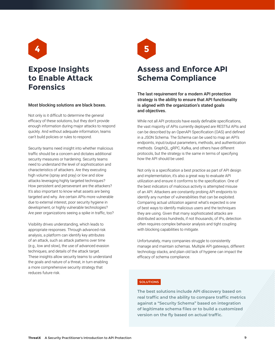

## **Expose Insights to Enable Attack Forensics**

#### Most blocking solutions are black boxes.

Not only is it difficult to determine the general efficacy of these solutions, but they don't provide enough information during major attacks to respond quickly. And without adequate information, teams can't build policies or rules to respond.

Security teams need insight into whether malicious traffic should be a concern and dictates additional security measures or hardening. Security teams need to understand the level of sophistication and characteristics of attackers. Are they executing high volume (spray and pray) or low and slow attacks leveraging highly targeted techniques? How persistent and perseverant are the attackers? It's also important to know what assets are being targeted and why. Are certain APIs more vulnerable due to external interest, poor security hygiene in development, or highly vulnerable technologies? Are peer organizations seeing a spike in traffic, too?

Visibility drives understanding, which leads to appropriate responses. Through advanced risk analysis, a platform can identify key attributes of an attack, such as attack patterns over time (e.g., low and slow), the use of advanced evasion techniques, and details of the attack target. These insights allow security teams to understand the goals and nature of a threat, in turn enabling a more comprehensive security strategy that reduces future risk.



## **Assess and Enforce API Schema Compliance**

The last requirement for a modern API protection strategy is the ability to ensure that API functionality is aligned with the organization's stated goals and objectives.

While not all API protocols have easily definable specifications, the vast majority of APIs currently deployed are RESTful APIs and can be described by an OpenAPI Specification (OAS) and defined in a JSON Schema. The Schema can be used to map an API's endpoints, input/output parameters, methods, and authentication methods. GraphQL, gRPC, Kafka, and others have different protocols, but the strategy is the same in terms of specifying how the API should be used.

Not only is a specification a best practice as part of API design and implementation, it's also a great way to evaluate API utilization and ensure it conforms to the specification. One of the best indicators of malicious activity is attempted misuse of an API. Attackers are constantly probing API endpoints to identify any number of vulnerabilities that can be exploited. Comparing actual utilization against what's expected is one of best ways to identify malicious users and the techniques they are using. Given that many sophisticated attacks are distributed across hundreds, if not thousands, of IPs, detection often requires complex behavior analysis and tight coupling with blocking capabilities to mitigate.

Unfortunately, many companies struggle to consistently manage and maintain schemas. Multiple API gateways, different technology stacks, and plain old lack of hygiene can impact the efficacy of schema compliance.

#### **SOLUTIONS**

**The best solutions include API discovery based on real traffic and the ability to compare traffic metrics against a "Security Schema" based on integration of legitimate schema files or to build a customized version on the fly based on actual traffic.**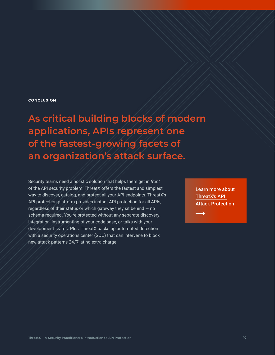#### **CONCLUSION**

**As critical building blocks of modern applications, APIs represent one of the fastest-growing facets of an organization's attack surface.** 

Security teams need a holistic solution that helps them get in *front* of the API security problem. ThreatX offers the fastest and simplest way to discover, catalog, and protect all your API endpoints. ThreatX's API protection platform provides instant API protection for all APIs, regardless of their status or which gateway they sit behind — no schema required. You're protected without any separate discovery, integration, instrumenting of your code base, or talks with your development teams. Plus, ThreatX backs up automated detection with a security operations center (SOC) that can intervene to block new attack patterns 24/7, at no extra charge.

Learn more about [ThreatX's API](https://info.threatx.com/hubfs/ug/threatx-data-sheet-api-attack-protection-fully-managed.pdf)  [Attack Protection](https://info.threatx.com/hubfs/ug/threatx-data-sheet-api-attack-protection-fully-managed.pdf)

 $\rightarrow$ 

**ThreatX** A Security Practitioner's Introduction to API Protection Protection **10**